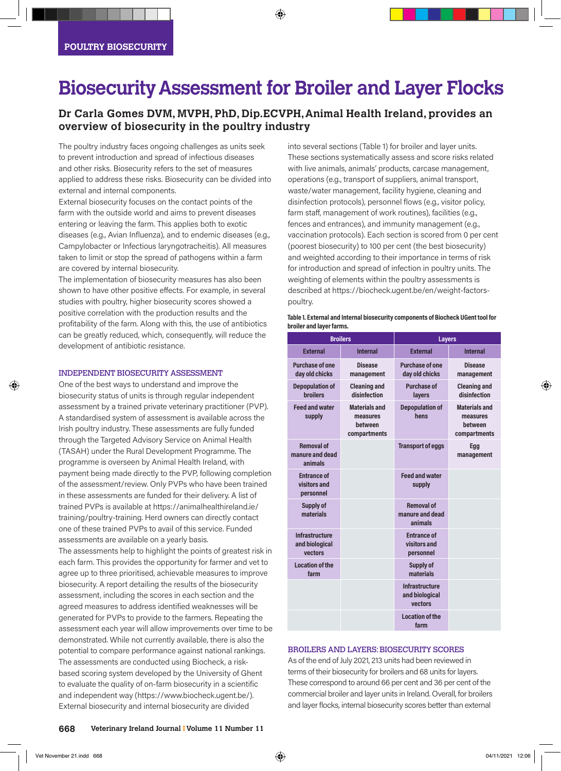# **Biosecurity Assessment for Broiler and Layer Flocks**

### **Dr Carla Gomes DVM, MVPH, PhD, Dip.ECVPH, Animal Health Ireland, provides an overview of biosecurity in the poultry industry**

The poultry industry faces ongoing challenges as units seek to prevent introduction and spread of infectious diseases and other risks. Biosecurity refers to the set of measures applied to address these risks. Biosecurity can be divided into external and internal components.

External biosecurity focuses on the contact points of the farm with the outside world and aims to prevent diseases entering or leaving the farm. This applies both to exotic diseases (e.g., Avian Influenza), and to endemic diseases (e.g., Campylobacter or Infectious laryngotracheitis). All measures taken to limit or stop the spread of pathogens within a farm are covered by internal biosecurity.

The implementation of biosecurity measures has also been shown to have other positive effects. For example, in several studies with poultry, higher biosecurity scores showed a positive correlation with the production results and the profitability of the farm. Along with this, the use of antibiotics can be greatly reduced, which, consequently, will reduce the development of antibiotic resistance.

#### INDEPENDENT BIOSECURITY ASSESSMENT

One of the best ways to understand and improve the biosecurity status of units is through regular independent assessment by a trained private veterinary practitioner (PVP). A standardised system of assessment is available across the Irish poultry industry. These assessments are fully funded through the Targeted Advisory Service on Animal Health (TASAH) under the Rural Development Programme. The programme is overseen by Animal Health Ireland, with payment being made directly to the PVP, following completion of the assessment/review. Only PVPs who have been trained in these assessments are funded for their delivery. A list of trained PVPs is available at https://animalhealthireland.ie/ training/poultry-training. Herd owners can directly contact one of these trained PVPs to avail of this service. Funded assessments are available on a yearly basis.

The assessments help to highlight the points of greatest risk in each farm. This provides the opportunity for farmer and vet to agree up to three prioritised, achievable measures to improve biosecurity. A report detailing the results of the biosecurity assessment, including the scores in each section and the agreed measures to address identified weaknesses will be generated for PVPs to provide to the farmers. Repeating the assessment each year will allow improvements over time to be demonstrated. While not currently available, there is also the potential to compare performance against national rankings. The assessments are conducted using Biocheck, a riskbased scoring system developed by the University of Ghent to evaluate the quality of on-farm biosecurity in a scientific and independent way (https://www.biocheck.ugent.be/). External biosecurity and internal biosecurity are divided

into several sections (Table 1) for broiler and layer units. These sections systematically assess and score risks related with live animals, animals' products, carcase management, operations (e.g., transport of suppliers, animal transport, waste/water management, facility hygiene, cleaning and disinfection protocols), personnel flows (e.g., visitor policy, farm staff, management of work routines), facilities (e.g., fences and entrances), and immunity management (e.g., vaccination protocols). Each section is scored from 0 per cent (poorest biosecurity) to 100 per cent (the best biosecurity) and weighted according to their importance in terms of risk for introduction and spread of infection in poultry units. The weighting of elements within the poultry assessments is described at https://biocheck.ugent.be/en/weight-factorspoultry.

| Table 1. External and Internal biosecurity components of Biocheck UGent tool for |
|----------------------------------------------------------------------------------|
| broiler and layer farms.                                                         |

| <b>Broilers</b>                                 |                                                             | <b>Layers</b>                                      |                                                             |
|-------------------------------------------------|-------------------------------------------------------------|----------------------------------------------------|-------------------------------------------------------------|
| <b>External</b>                                 | <b>Internal</b>                                             | <b>External</b>                                    | <b>Internal</b>                                             |
| Purchase of one<br>day old chicks               | <b>Disease</b><br>management                                | Purchase of one<br>day old chicks                  | <b>Disease</b><br>management                                |
| <b>Depopulation of</b><br><b>broilers</b>       | <b>Cleaning and</b><br>disinfection                         | <b>Purchase of</b><br>layers                       | <b>Cleaning and</b><br>disinfection                         |
| <b>Feed and water</b><br>supply                 | <b>Materials and</b><br>measures<br>hetween<br>compartments | <b>Depopulation of</b><br>hens                     | <b>Materials and</b><br>measures<br>between<br>compartments |
| <b>Removal of</b><br>manure and dead<br>animals |                                                             | <b>Transport of eggs</b>                           | Egg<br>management                                           |
| <b>Entrance of</b><br>visitors and<br>personnel |                                                             | <b>Feed and water</b><br>supply                    |                                                             |
| Supply of<br>materials                          |                                                             | <b>Removal of</b><br>manure and dead<br>animals    |                                                             |
| Infrastructure<br>and biological<br>vectors     |                                                             | <b>Entrance of</b><br>visitors and<br>personnel    |                                                             |
| <b>Location of the</b><br>farm                  |                                                             | Supply of<br>materials                             |                                                             |
|                                                 |                                                             | <b>Infrastructure</b><br>and biological<br>vectors |                                                             |
|                                                 |                                                             | <b>Location of the</b><br>farm                     |                                                             |

#### BROILERS AND LAYERS: BIOSECURITY SCORES

As of the end of July 2021, 213 units had been reviewed in terms of their biosecurity for broilers and 68 units for layers. These correspond to around 66 per cent and 36 per cent of the commercial broiler and layer units in Ireland. Overall, for broilers and layer flocks, internal biosecurity scores better than external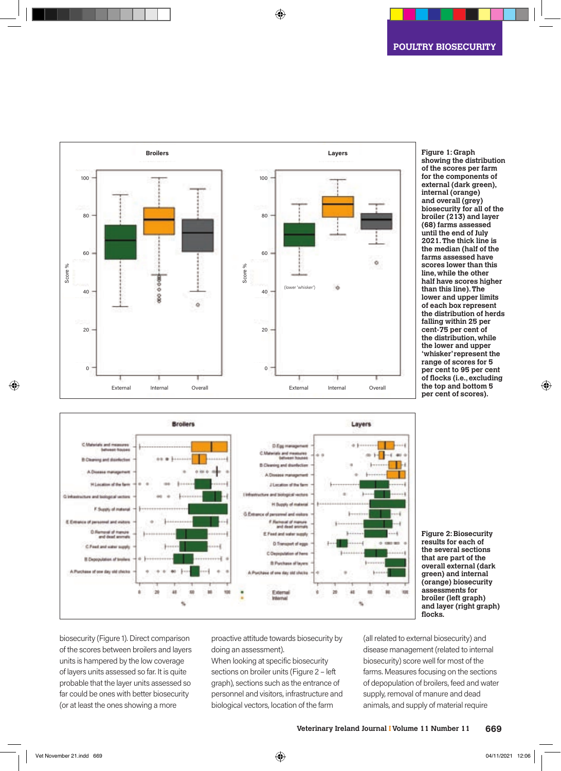**Figure 1: Graph** 





**showing the distribution of the scores per farm for the components of external (dark green), internal (orange) and overall (grey) biosecurity for all of the broiler (213) and layer (68) farms assessed until the end of July 2021. The thick line is the median (half of the farms assessed have scores lower than this line, while the other half have scores higher than this line). The lower and upper limits of each box represent the distribution of herds falling within 25 per cent-75 per cent of the distribution, while the lower and upper 'whisker' represent the range of scores for 5 per cent to 95 per cent of flocks (i.e., excluding the top and bottom 5** 

**Figure 2: Biosecurity results for each of the several sections that are part of the overall external (dark green) and internal (orange) biosecurity assessments for broiler (left graph) and layer (right graph) flocks.**

biosecurity (Figure 1). Direct comparison of the scores between broilers and layers units is hampered by the low coverage of layers units assessed so far. It is quite probable that the layer units assessed so far could be ones with better biosecurity (or at least the ones showing a more

a book show

E Email

proactive attitude towards biosecurity by doing an assessment).

When looking at specific biosecurity sections on broiler units (Figure 2 – left graph), sections such as the entrance of personnel and visitors, infrastructure and biological vectors, location of the farm

(all related to external biosecurity) and disease management (related to internal biosecurity) score well for most of the farms. Measures focusing on the sections of depopulation of broilers, feed and water supply, removal of manure and dead animals, and supply of material require